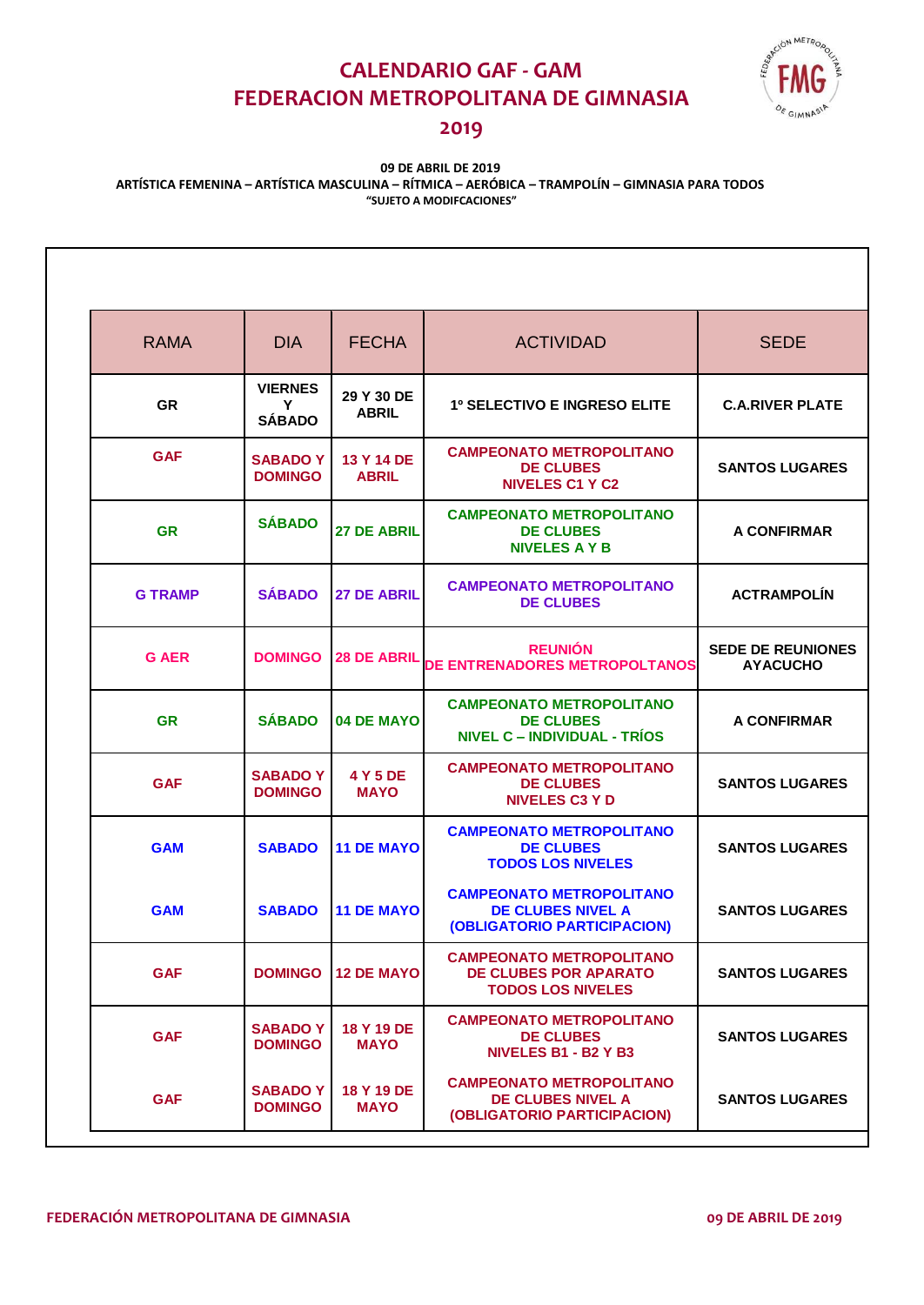# **CALENDARIO GAF - GAM FEDERACION METROPOLITANA DE GIMNASIA**



### **2019**

### **(Sujeto a modificaciones) 09 DE ABRIL DE 2019 ARTÍSTICA FEMENINA – ARTÍSTICA MASCULINA – RÍTMICA – AERÓBICA – TRAMPOLÍN – GIMNASIA PARA TODOS "SUJETO A MODIFCACIONES"**

| <b>RAMA</b>    | <b>DIA</b>                           | <b>FECHA</b>               | <b>ACTIVIDAD</b>                                                                            | <b>SEDE</b>                                 |
|----------------|--------------------------------------|----------------------------|---------------------------------------------------------------------------------------------|---------------------------------------------|
| <b>GR</b>      | <b>VIERNES</b><br>Υ<br><b>SÁBADO</b> | 29 Y 30 DE<br><b>ABRIL</b> | <b>1º SELECTIVO E INGRESO ELITE</b>                                                         | <b>C.A.RIVER PLATE</b>                      |
| <b>GAF</b>     | <b>SABADO Y</b><br><b>DOMINGO</b>    | 13 Y 14 DE<br><b>ABRIL</b> | <b>CAMPEONATO METROPOLITANO</b><br><b>DE CLUBES</b><br><b>NIVELES C1 Y C2</b>               | <b>SANTOS LUGARES</b>                       |
| <b>GR</b>      | <b>SÁBADO</b>                        | <b>27 DE ABRIL</b>         | <b>CAMPEONATO METROPOLITANO</b><br><b>DE CLUBES</b><br><b>NIVELES A Y B</b>                 | A CONFIRMAR                                 |
| <b>G TRAMP</b> | <b>SÁBADO</b>                        | <b>27 DE ABRIL</b>         | <b>CAMPEONATO METROPOLITANO</b><br><b>DE CLUBES</b>                                         | <b>ACTRAMPOLÍN</b>                          |
| <b>G AER</b>   | <b>DOMINGO</b>                       | <b>28 DE ABRIL</b>         | <b>REUNIÓN</b><br>DE ENTRENADORES METROPOLTANOS                                             | <b>SEDE DE REUNIONES</b><br><b>AYACUCHO</b> |
| <b>GR</b>      | <b>SÁBADO</b>                        | 04 DE MAYO                 | <b>CAMPEONATO METROPOLITANO</b><br><b>DE CLUBES</b><br><b>NIVEL C - INDIVIDUAL - TRÍOS</b>  | A CONFIRMAR                                 |
| <b>GAF</b>     | <b>SABADO Y</b><br><b>DOMINGO</b>    | 4 Y 5 DE<br><b>MAYO</b>    | <b>CAMPEONATO METROPOLITANO</b><br><b>DE CLUBES</b><br><b>NIVELES C3 Y D</b>                | <b>SANTOS LUGARES</b>                       |
| <b>GAM</b>     | <b>SABADO</b>                        | <b>11 DE MAYO</b>          | <b>CAMPEONATO METROPOLITANO</b><br><b>DE CLUBES</b><br><b>TODOS LOS NIVELES</b>             | <b>SANTOS LUGARES</b>                       |
| <b>GAM</b>     | <b>SABADO</b>                        | <b>11 DE MAYO</b>          | <b>CAMPEONATO METROPOLITANO</b><br>DE CLUBES NIVEL A<br>(OBLIGATORIO PARTICIPACION)         | <b>SANTOS LUGARES</b>                       |
| <b>GAF</b>     | <b>DOMINGO</b>                       | <b>12 DE MAYO</b>          | <b>CAMPEONATO METROPOLITANO</b><br><b>DE CLUBES POR APARATO</b><br><b>TODOS LOS NIVELES</b> | <b>SANTOS LUGARES</b>                       |
| <b>GAF</b>     | <b>SABADOY</b><br><b>DOMINGO</b>     | 18 Y 19 DE<br><b>MAYO</b>  | <b>CAMPEONATO METROPOLITANO</b><br><b>DE CLUBES</b><br><b>NIVELES B1 - B2 Y B3</b>          | <b>SANTOS LUGARES</b>                       |
| <b>GAF</b>     | <b>SABADOY</b><br><b>DOMINGO</b>     | 18 Y 19 DE<br><b>MAYO</b>  | <b>CAMPEONATO METROPOLITANO</b><br><b>DE CLUBES NIVEL A</b><br>(OBLIGATORIO PARTICIPACION)  | <b>SANTOS LUGARES</b>                       |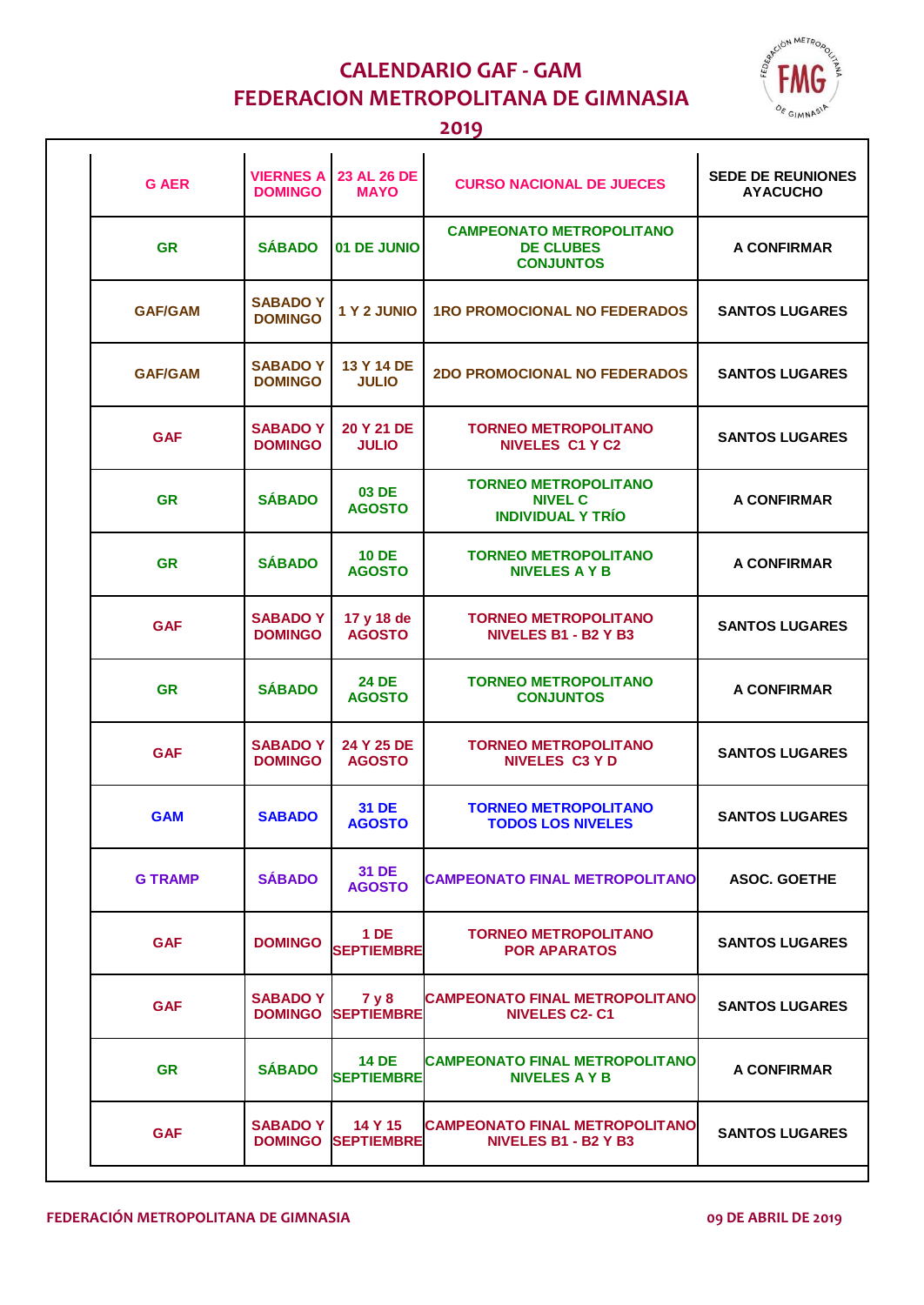

# **CALENDARIO GAF - GAM FEDERACION METROPOLITANA DE GIMNASIA**

#### **2019**

| <b>G AER</b>   | <b>VIERNES A</b><br><b>DOMINGO</b> | 23 AL 26 DE<br><b>MAYO</b>    | <b>CURSO NACIONAL DE JUECES</b>                                           | <b>SEDE DE REUNIONES</b><br><b>AYACUCHO</b> |
|----------------|------------------------------------|-------------------------------|---------------------------------------------------------------------------|---------------------------------------------|
| <b>GR</b>      | <b>SÁBADO</b>                      | 01 DE JUNIO                   | <b>CAMPEONATO METROPOLITANO</b><br><b>DE CLUBES</b><br><b>CONJUNTOS</b>   | <b>A CONFIRMAR</b>                          |
| <b>GAF/GAM</b> | <b>SABADOY</b><br><b>DOMINGO</b>   | 1 Y 2 JUNIO                   | <b>1RO PROMOCIONAL NO FEDERADOS</b>                                       | <b>SANTOS LUGARES</b>                       |
| <b>GAF/GAM</b> | <b>SABADO Y</b><br><b>DOMINGO</b>  | 13 Y 14 DE<br><b>JULIO</b>    | <b>2DO PROMOCIONAL NO FEDERADOS</b>                                       | <b>SANTOS LUGARES</b>                       |
| <b>GAF</b>     | <b>SABADOY</b><br><b>DOMINGO</b>   | 20 Y 21 DE<br><b>JULIO</b>    | <b>TORNEO METROPOLITANO</b><br><b>NIVELES C1 Y C2</b>                     | <b>SANTOS LUGARES</b>                       |
| <b>GR</b>      | <b>SÁBADO</b>                      | 03 DE<br><b>AGOSTO</b>        | <b>TORNEO METROPOLITANO</b><br><b>NIVEL C</b><br><b>INDIVIDUAL Y TRÍO</b> | A CONFIRMAR                                 |
| <b>GR</b>      | <b>SÁBADO</b>                      | <b>10 DE</b><br><b>AGOSTO</b> | <b>TORNEO METROPOLITANO</b><br><b>NIVELES A Y B</b>                       | A CONFIRMAR                                 |
| <b>GAF</b>     | <b>SABADO Y</b><br><b>DOMINGO</b>  | 17 y 18 de<br><b>AGOSTO</b>   | <b>TORNEO METROPOLITANO</b><br><b>NIVELES B1 - B2 Y B3</b>                | <b>SANTOS LUGARES</b>                       |
| <b>GR</b>      | <b>SÁBADO</b>                      | <b>24 DE</b><br><b>AGOSTO</b> | <b>TORNEO METROPOLITANO</b><br><b>CONJUNTOS</b>                           | A CONFIRMAR                                 |
| <b>GAF</b>     | <b>SABADOY</b><br><b>DOMINGO</b>   | 24 Y 25 DE<br><b>AGOSTO</b>   | <b>TORNEO METROPOLITANO</b><br><b>NIVELES C3 Y D</b>                      | <b>SANTOS LUGARES</b>                       |
| <b>GAM</b>     | <b>SABADO</b>                      | 31 DE<br><b>AGOSTO</b>        | <b>TORNEO METROPOLITANO</b><br><b>TODOS LOS NIVELES</b>                   | <b>SANTOS LUGARES</b>                       |
| <b>G TRAMP</b> | <b>SÁBADO</b>                      | 31 DE<br><b>AGOSTO</b>        | <b>CAMPEONATO FINAL METROPOLITANO</b>                                     | <b>ASOC. GOETHE</b>                         |
| <b>GAF</b>     | <b>DOMINGO</b>                     | $1$ DE<br><b>SEPTIEMBRE</b>   | <b>TORNEO METROPOLITANO</b><br><b>POR APARATOS</b>                        | <b>SANTOS LUGARES</b>                       |
| <b>GAF</b>     | <b>SABADO Y</b><br><b>DOMINGO</b>  | 7 y 8<br><b>SEPTIEMBRE</b>    | <b>CAMPEONATO FINAL METROPOLITANO</b><br><b>NIVELES C2-C1</b>             | <b>SANTOS LUGARES</b>                       |
| <b>GR</b>      | <b>SÁBADO</b>                      | 14 DE<br><b>SEPTIEMBRE</b>    | <b>CAMPEONATO FINAL METROPOLITANO</b><br><b>NIVELES A Y B</b>             | A CONFIRMAR                                 |
| <b>GAF</b>     | <b>SABADO Y</b><br><b>DOMINGO</b>  | 14 Y 15<br><b>SEPTIEMBRE</b>  | <b>CAMPEONATO FINAL METROPOLITANO</b><br><b>NIVELES B1 - B2 Y B3</b>      | <b>SANTOS LUGARES</b>                       |